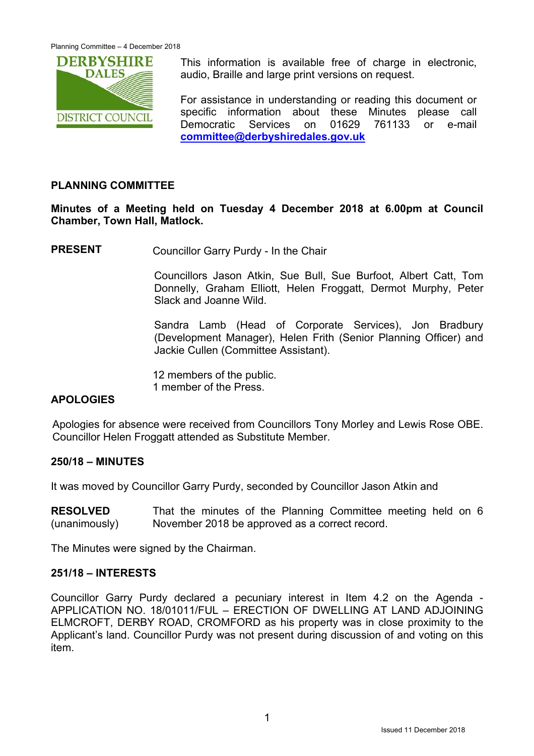

This information is available free of charge in electronic. audio, Braille and large print versions on request.

For assistance in understanding or reading this document or specific information about these Minutes please call Democratic Services on 01629 761133 or e-mail **committee@derbyshiredales.gov.uk**

## **PLANNING COMMITTEE**

**Minutes of a Meeting held on Tuesday 4 December 2018 at 6.00pm at Council Chamber, Town Hall, Matlock.** 

**PRESENT** Councillor Garry Purdy - In the Chair

 Councillors Jason Atkin, Sue Bull, Sue Burfoot, Albert Catt, Tom Donnelly, Graham Elliott, Helen Froggatt, Dermot Murphy, Peter Slack and Joanne Wild.

Sandra Lamb (Head of Corporate Services), Jon Bradbury (Development Manager), Helen Frith (Senior Planning Officer) and Jackie Cullen (Committee Assistant).

12 members of the public. 1 member of the Press.

# **APOLOGIES**

Apologies for absence were received from Councillors Tony Morley and Lewis Rose OBE. Councillor Helen Froggatt attended as Substitute Member.

#### **250/18 – MINUTES**

It was moved by Councillor Garry Purdy, seconded by Councillor Jason Atkin and

**RESOLVED**  (unanimously) That the minutes of the Planning Committee meeting held on 6 November 2018 be approved as a correct record.

The Minutes were signed by the Chairman.

### **251/18 – INTERESTS**

Councillor Garry Purdy declared a pecuniary interest in Item 4.2 on the Agenda - APPLICATION NO. 18/01011/FUL – ERECTION OF DWELLING AT LAND ADJOINING ELMCROFT, DERBY ROAD, CROMFORD as his property was in close proximity to the Applicant's land. Councillor Purdy was not present during discussion of and voting on this item.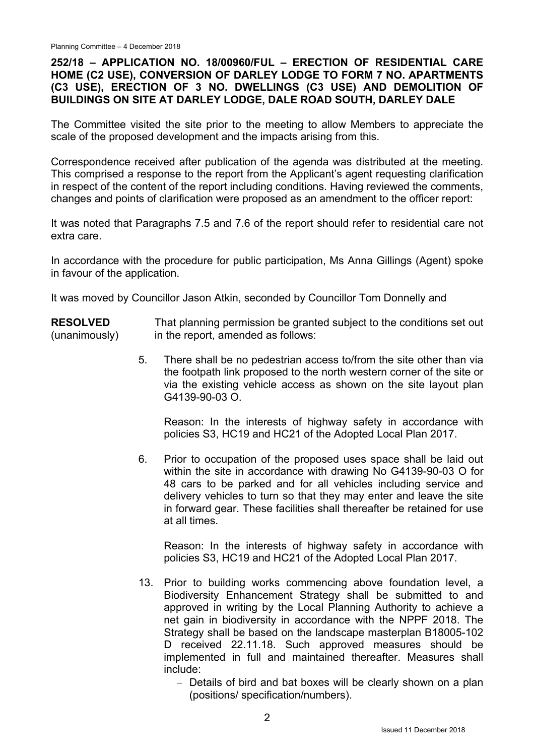## **252/18 – APPLICATION NO. 18/00960/FUL – ERECTION OF RESIDENTIAL CARE HOME (C2 USE), CONVERSION OF DARLEY LODGE TO FORM 7 NO. APARTMENTS (C3 USE), ERECTION OF 3 NO. DWELLINGS (C3 USE) AND DEMOLITION OF BUILDINGS ON SITE AT DARLEY LODGE, DALE ROAD SOUTH, DARLEY DALE**

The Committee visited the site prior to the meeting to allow Members to appreciate the scale of the proposed development and the impacts arising from this.

Correspondence received after publication of the agenda was distributed at the meeting. This comprised a response to the report from the Applicant's agent requesting clarification in respect of the content of the report including conditions. Having reviewed the comments, changes and points of clarification were proposed as an amendment to the officer report:

It was noted that Paragraphs 7.5 and 7.6 of the report should refer to residential care not extra care.

In accordance with the procedure for public participation, Ms Anna Gillings (Agent) spoke in favour of the application.

It was moved by Councillor Jason Atkin, seconded by Councillor Tom Donnelly and

**RESOLVED**  (unanimously) That planning permission be granted subject to the conditions set out in the report, amended as follows:

> 5. There shall be no pedestrian access to/from the site other than via the footpath link proposed to the north western corner of the site or via the existing vehicle access as shown on the site layout plan G4139-90-03 O.

 Reason: In the interests of highway safety in accordance with policies S3, HC19 and HC21 of the Adopted Local Plan 2017.

6. Prior to occupation of the proposed uses space shall be laid out within the site in accordance with drawing No G4139-90-03 O for 48 cars to be parked and for all vehicles including service and delivery vehicles to turn so that they may enter and leave the site in forward gear. These facilities shall thereafter be retained for use at all times.

 Reason: In the interests of highway safety in accordance with policies S3, HC19 and HC21 of the Adopted Local Plan 2017.

- 13. Prior to building works commencing above foundation level, a Biodiversity Enhancement Strategy shall be submitted to and approved in writing by the Local Planning Authority to achieve a net gain in biodiversity in accordance with the NPPF 2018. The Strategy shall be based on the landscape masterplan B18005-102 D received 22.11.18. Such approved measures should be implemented in full and maintained thereafter. Measures shall include:
	- Details of bird and bat boxes will be clearly shown on a plan (positions/ specification/numbers).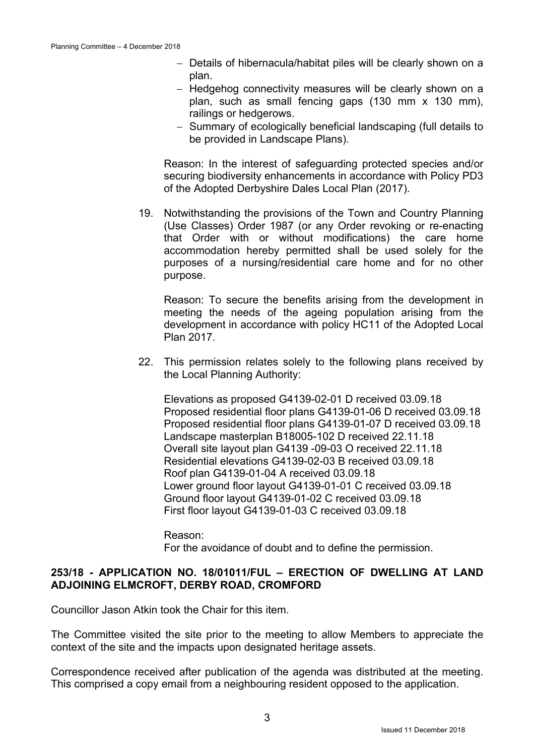- Details of hibernacula/habitat piles will be clearly shown on a plan.
- Hedgehog connectivity measures will be clearly shown on a plan, such as small fencing gaps (130 mm x 130 mm), railings or hedgerows.
- Summary of ecologically beneficial landscaping (full details to be provided in Landscape Plans).

 Reason: In the interest of safeguarding protected species and/or securing biodiversity enhancements in accordance with Policy PD3 of the Adopted Derbyshire Dales Local Plan (2017).

19. Notwithstanding the provisions of the Town and Country Planning (Use Classes) Order 1987 (or any Order revoking or re-enacting that Order with or without modifications) the care home accommodation hereby permitted shall be used solely for the purposes of a nursing/residential care home and for no other purpose.

 Reason: To secure the benefits arising from the development in meeting the needs of the ageing population arising from the development in accordance with policy HC11 of the Adopted Local Plan 2017.

22. This permission relates solely to the following plans received by the Local Planning Authority:

 Elevations as proposed G4139-02-01 D received 03.09.18 Proposed residential floor plans G4139-01-06 D received 03.09.18 Proposed residential floor plans G4139-01-07 D received 03.09.18 Landscape masterplan B18005-102 D received 22.11.18 Overall site layout plan G4139 -09-03 O received 22.11.18 Residential elevations G4139-02-03 B received 03.09.18 Roof plan G4139-01-04 A received 03.09.18 Lower ground floor layout G4139-01-01 C received 03.09.18 Ground floor layout G4139-01-02 C received 03.09.18 First floor layout G4139-01-03 C received 03.09.18

 Reason: For the avoidance of doubt and to define the permission.

### **253/18 - APPLICATION NO. 18/01011/FUL – ERECTION OF DWELLING AT LAND ADJOINING ELMCROFT, DERBY ROAD, CROMFORD**

Councillor Jason Atkin took the Chair for this item.

The Committee visited the site prior to the meeting to allow Members to appreciate the context of the site and the impacts upon designated heritage assets.

Correspondence received after publication of the agenda was distributed at the meeting. This comprised a copy email from a neighbouring resident opposed to the application.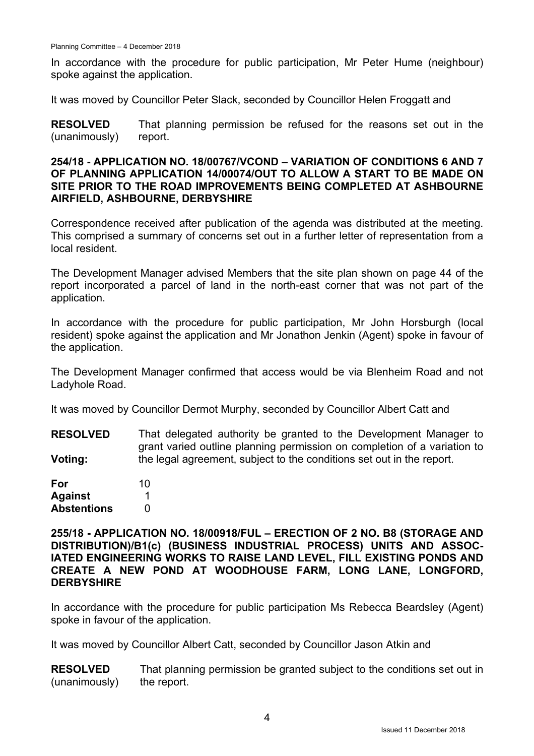In accordance with the procedure for public participation, Mr Peter Hume (neighbour) spoke against the application.

It was moved by Councillor Peter Slack, seconded by Councillor Helen Froggatt and

**RESOLVED**  (unanimously) That planning permission be refused for the reasons set out in the report.

#### **254/18 - APPLICATION NO. 18/00767/VCOND – VARIATION OF CONDITIONS 6 AND 7 OF PLANNING APPLICATION 14/00074/OUT TO ALLOW A START TO BE MADE ON SITE PRIOR TO THE ROAD IMPROVEMENTS BEING COMPLETED AT ASHBOURNE AIRFIELD, ASHBOURNE, DERBYSHIRE**

Correspondence received after publication of the agenda was distributed at the meeting. This comprised a summary of concerns set out in a further letter of representation from a local resident.

The Development Manager advised Members that the site plan shown on page 44 of the report incorporated a parcel of land in the north-east corner that was not part of the application.

In accordance with the procedure for public participation, Mr John Horsburgh (local resident) spoke against the application and Mr Jonathon Jenkin (Agent) spoke in favour of the application.

The Development Manager confirmed that access would be via Blenheim Road and not Ladyhole Road.

It was moved by Councillor Dermot Murphy, seconded by Councillor Albert Catt and

**RESOLVED Voting:**  That delegated authority be granted to the Development Manager to grant varied outline planning permission on completion of a variation to the legal agreement, subject to the conditions set out in the report.

| For                | 10 |
|--------------------|----|
| <b>Against</b>     |    |
| <b>Abstentions</b> | O  |

**255/18 - APPLICATION NO. 18/00918/FUL – ERECTION OF 2 NO. B8 (STORAGE AND DISTRIBUTION)/B1(c) (BUSINESS INDUSTRIAL PROCESS) UNITS AND ASSOC-IATED ENGINEERING WORKS TO RAISE LAND LEVEL, FILL EXISTING PONDS AND CREATE A NEW POND AT WOODHOUSE FARM, LONG LANE, LONGFORD, DERBYSHIRE** 

In accordance with the procedure for public participation Ms Rebecca Beardsley (Agent) spoke in favour of the application.

It was moved by Councillor Albert Catt, seconded by Councillor Jason Atkin and

**RESOLVED**  (unanimously) That planning permission be granted subject to the conditions set out in the report.